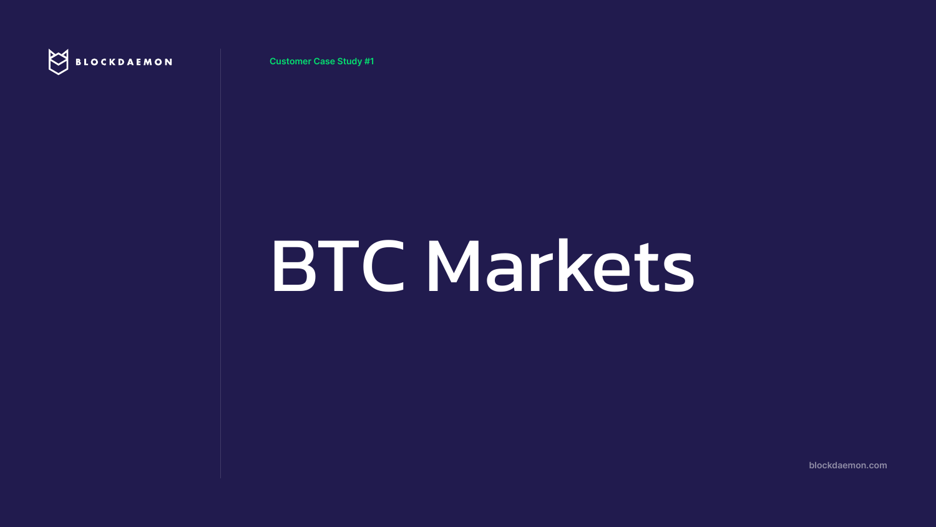# BTC Markets



**Customer Case Study #1**

**blockdaemon.com**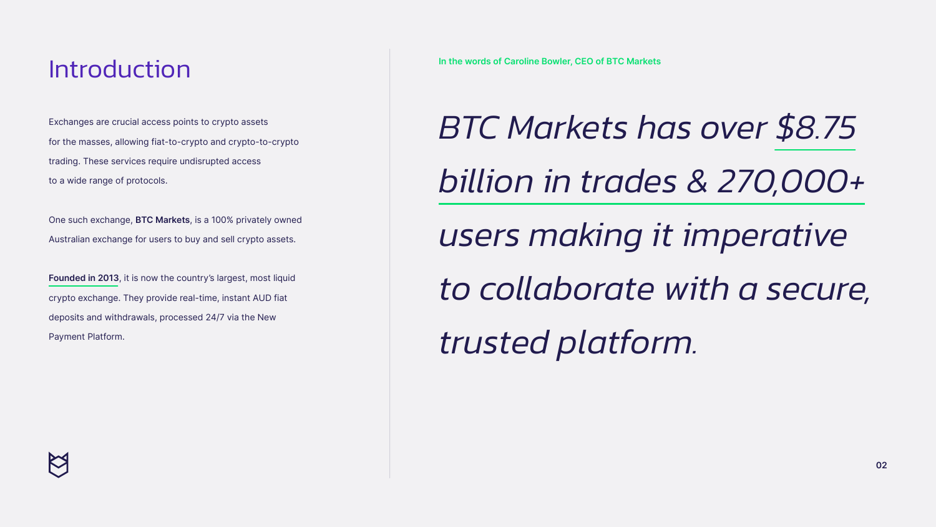### Introduction



Exchanges are crucial access points to crypto assets for the masses, allowing fiat-to-crypto and crypto-to-crypto trading. These services require undisrupted access to a wide range of protocols.

One such exchange, **BTC Markets**, is a 100% privately owned Australian exchange for users to buy and sell crypto assets.

**Founded in 2013**, it is now the country's largest, most liquid crypto exchange. They provide real-time, instant AUD fiat deposits and withdrawals, processed 24/7 via the New Payment Platform.



**In the words of Caroline Bowler, CEO of BTC Markets**

*BTC Markets has over \$8.75 billion in trades & 270,000+ users making it imperative* 

*to collaborate with a secure,* 

*trusted platform.*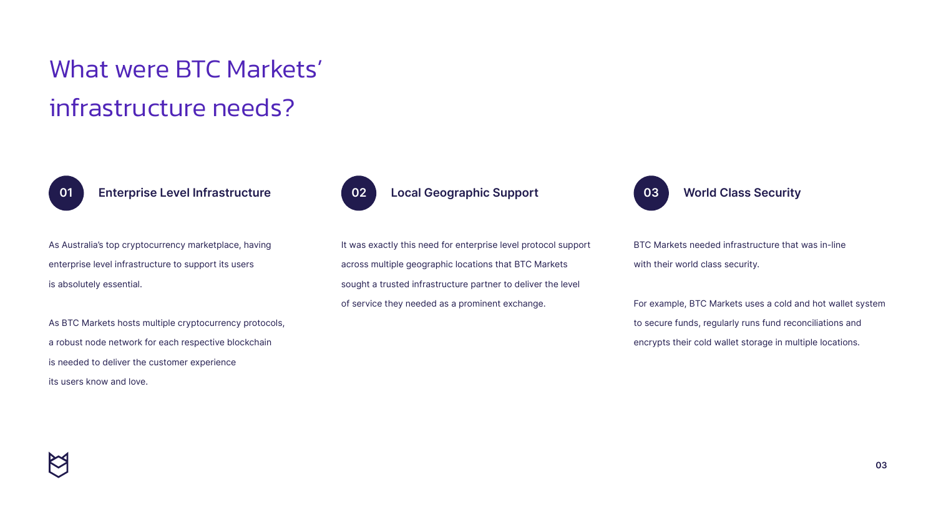

As Australia's top cryptocurrency marketplace, having enterprise level infrastructure to support its users is absolutely essential.

As BTC Markets hosts multiple cryptocurrency protocols, a robust node network for each respective blockchain is needed to deliver the customer experience its users know and love.

It was exactly this need for enterprise level protocol support across multiple geographic locations that BTC Markets sought a trusted infrastructure partner to deliver the level of service they needed as a prominent exchange.





BTC Markets needed infrastructure that was in-line with their world class security.

For example, BTC Markets uses a cold and hot wallet system to secure funds, regularly runs fund reconciliations and encrypts their cold wallet storage in multiple locations.

## What were BTC Markets' infrastructure needs?

### **01 Enterprise Level Infrastructure 02 Local Geographic Support 03 World Class Security**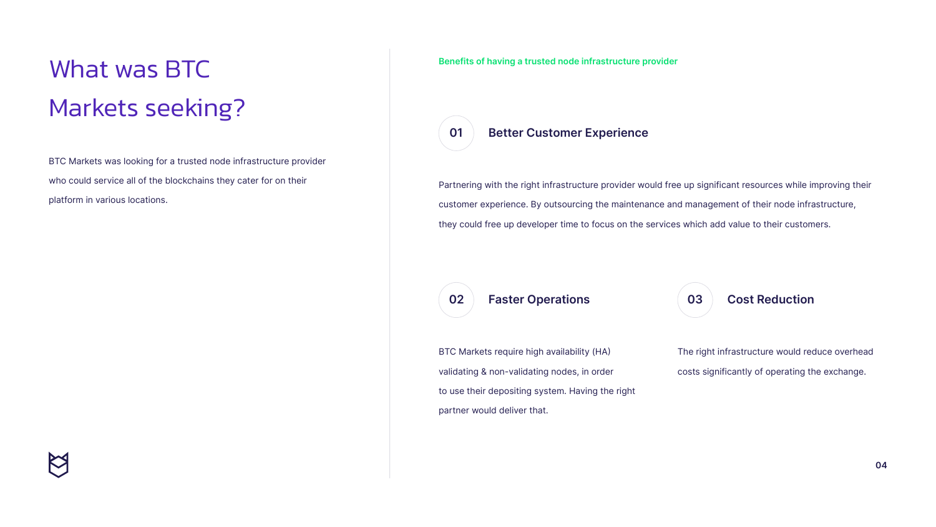# What was BTC Markets seeking?



Partnering with the right infrastructure provider would free up significant resources while improving their customer experience. By outsourcing the maintenance and management of their node infrastructure, they could free up developer time to focus on the services which add value to their customers.



The right infrastructure would reduce overhead costs significantly of operating the exchange.



BTC Markets require high availability (HA validating & non-validating nodes, in order to use their depositing system. Having the right partner would deliver that.

### **02 Faster Operations**

**Benefits of having a trusted node infrastructure provider**

### **01 Better Customer Experience**

BTC Markets was looking for a trusted node infrastructure provider who could service all of the blockchains they cater for on their platform in various locations.

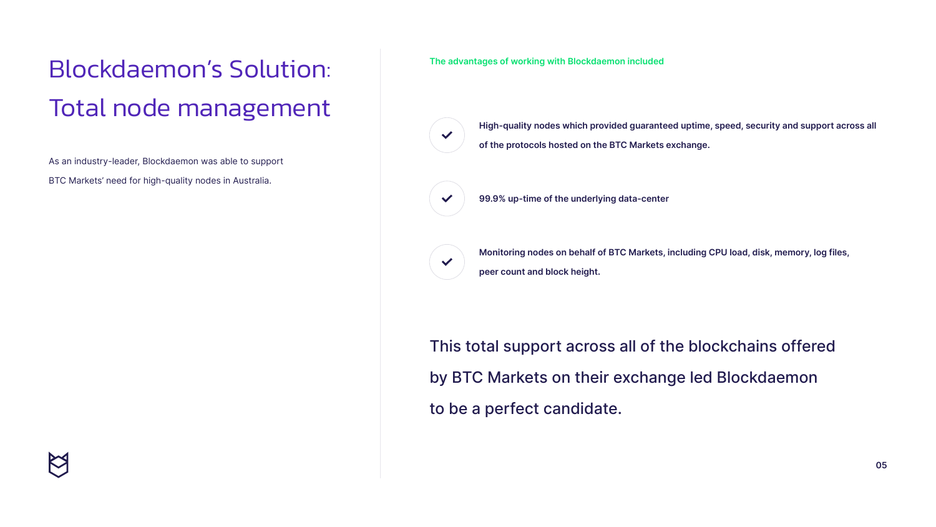## Blockdaemon's Solution: Total node management



As an industry-leader, Blockdaemon was able to support

BTC Markets' need for high-quality nodes in Australia.



This total support across all of the blockchains offered by BTC Markets on their exchange led Blockdaemon to be a perfect candidate.

**High-quality nodes which provided guaranteed uptime, speed, security and support across all of the protocols hosted on the BTC Markets exchange.**



**99.9% up-time of the underlying data-center**



**Monitoring nodes on behalf of BTC Markets, including CPU load, disk, memory, log files, peer count and block height.**

### **The advantages of working with Blockdaemon included**

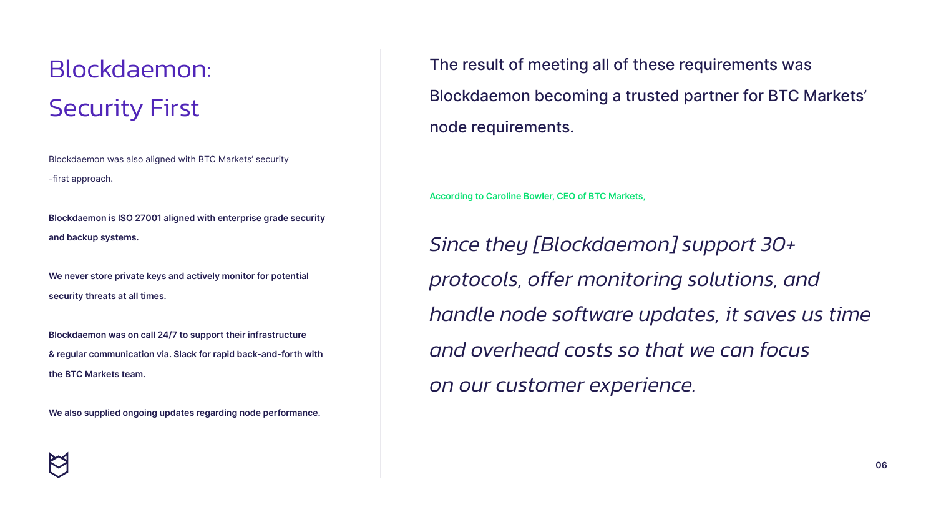# Blockdaemon: Security First



The result of meeting all of these requirements was Blockdaemon becoming a trusted partner for BTC Markets' node requirements.

Blockdaemon was also aligned with BTC Markets' security -first approach.

**Blockdaemon is ISO 27001 aligned with enterprise grade security and backup systems.**

**We never store private keys and actively monitor for potential security threats at all times.**

**Blockdaemon was on call 24/7 to support their infrastructure & regular communication via. Slack for rapid back-and-forth with the BTC Markets team.**

**We also supplied ongoing updates regarding node performance.**



**According to Caroline Bowler, CEO of BTC Markets,**

- *Since they [Blockdaemon] support 30+ protocols, offer monitoring solutions, and handle node software updates, it saves us time and overhead costs so that we can focus*
- *on our customer experience.*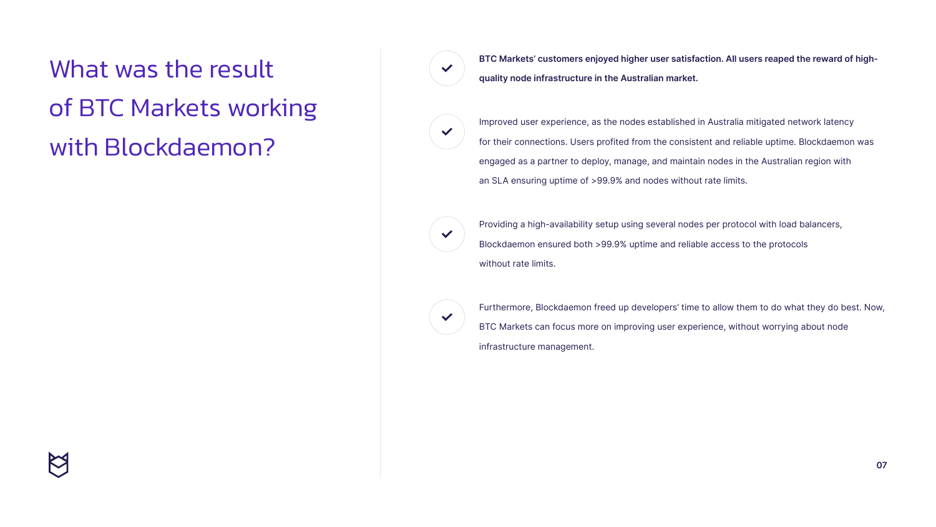

What was the result of BTC Markets working with Blockdaemon?



**BTC Markets' customers enjoyed higher user satisfaction. All users reaped the reward of highquality node infrastructure in the Australian market.**

Improved user experience, as the nodes established in Australia mitigated network latency for their connections. Users profited from the consistent and reliable uptime. Blockdaemon was engaged as a partner to deploy, manage, and maintain nodes in the Australian region with an SLA ensuring uptime of >99.9% and nodes without rate limits.

Providing a high-availability setup using several nodes per protocol with load balancers, Blockdaemon ensured both >99.9% uptime and reliable access to the protocols without rate limits.

 $\blacktriangledown$ 

 $\blacktriangledown$ 

Furthermore, Blockdaemon freed up developers' time to allow them to do what they do best. Now, BTC Markets can focus more on improving user experience, without worrying about node infrastructure management.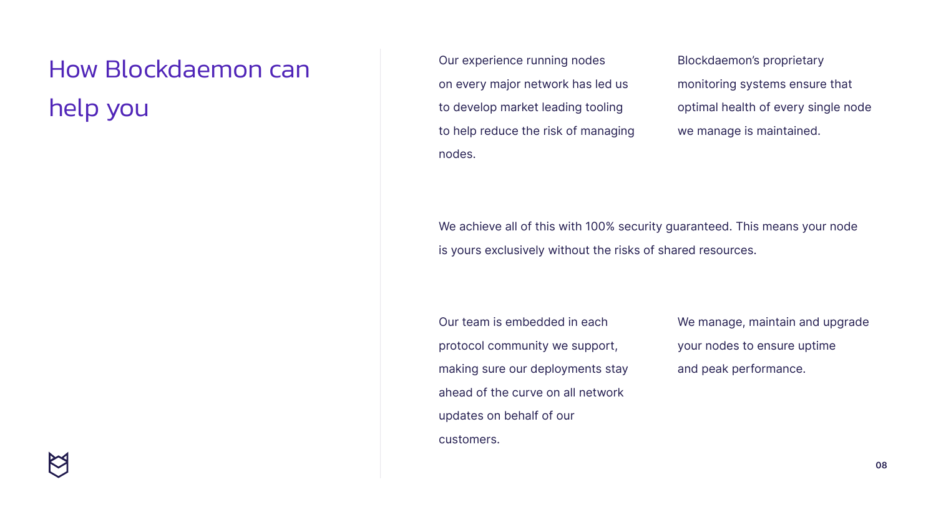

# How Blockdaemon can help you



Blockdaemon's proprietary monitoring systems ensure that optimal health of every single node we manage is maintained.

We manage, maintain and upgrade your nodes to ensure uptime and peak performance.

We achieve all of this with 100% security guaranteed. This means your node is yours exclusively without the risks of shared resources.

Our team is embedded in each protocol community we support, making sure our deployments stay ahead of the curve on all network updates on behalf of our customers.

Our experience running nodes on every major network has led us to develop market leading tooling to help reduce the risk of managing nodes.